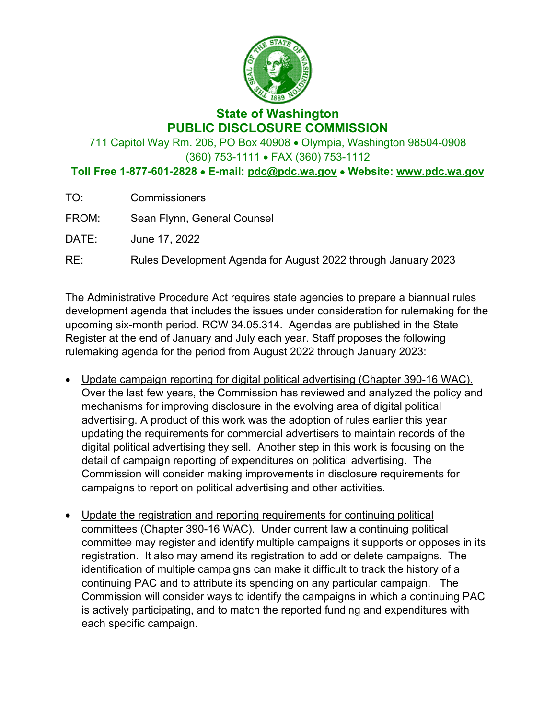

## **State of Washington PUBLIC DISCLOSURE COMMISSION**

711 Capitol Way Rm. 206, PO Box 40908 • Olympia, Washington 98504-0908 (360) 753-1111 • FAX (360) 753-1112

**Toll Free 1-877-601-2828** • **E-mail: [pdc@pdc.wa.gov](mailto:pdc@pdc.wa.gov)** • **Website: [www.pdc.wa.gov](http://www.pdc.wa.gov/)**

| TO:   | <b>Commissioners</b>                                          |
|-------|---------------------------------------------------------------|
| FROM: | Sean Flynn, General Counsel                                   |
| DATE: | June 17, 2022                                                 |
| RE:   | Rules Development Agenda for August 2022 through January 2023 |

The Administrative Procedure Act requires state agencies to prepare a biannual rules development agenda that includes the issues under consideration for rulemaking for the upcoming six-month period. RCW 34.05.314. Agendas are published in the State Register at the end of January and July each year. Staff proposes the following rulemaking agenda for the period from August 2022 through January 2023:

- Update campaign reporting for digital political advertising (Chapter 390-16 WAC). Over the last few years, the Commission has reviewed and analyzed the policy and mechanisms for improving disclosure in the evolving area of digital political advertising. A product of this work was the adoption of rules earlier this year updating the requirements for commercial advertisers to maintain records of the digital political advertising they sell. Another step in this work is focusing on the detail of campaign reporting of expenditures on political advertising. The Commission will consider making improvements in disclosure requirements for campaigns to report on political advertising and other activities.
- Update the registration and reporting requirements for continuing political committees (Chapter 390-16 WAC). Under current law a continuing political committee may register and identify multiple campaigns it supports or opposes in its registration. It also may amend its registration to add or delete campaigns. The identification of multiple campaigns can make it difficult to track the history of a continuing PAC and to attribute its spending on any particular campaign. The Commission will consider ways to identify the campaigns in which a continuing PAC is actively participating, and to match the reported funding and expenditures with each specific campaign.